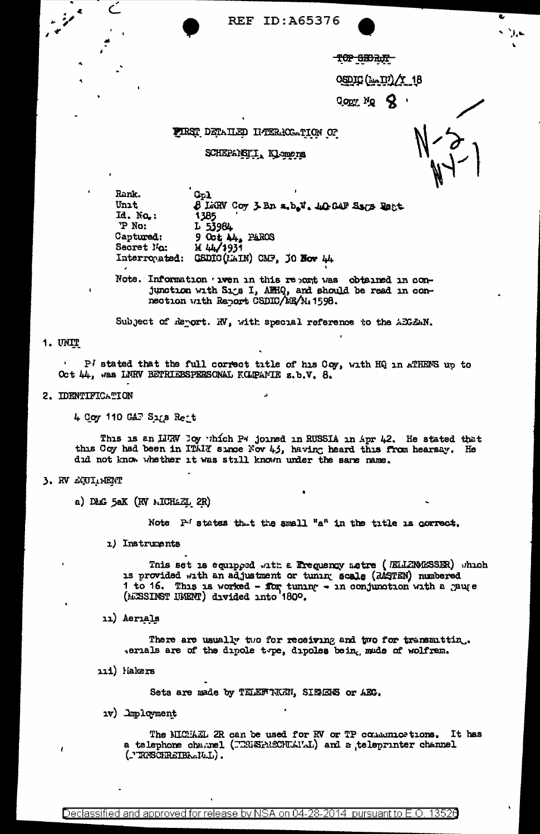**REF ID: A65376** 

TOP SECRET

 $\mathrm{OSDIC}$   $(\mu, \Pi) / 18$ 

 $Q_{\rm ODY}$  Mg  $Q$ 

## FIRST DETAILED INTERNOGATION OF

**SCHEPARELI Klamers** 

Rank. Col Unit 8 LWRV Coy 3 Bn a.b.V. 40 GAF Sags Reat Id. No.: 1385 P No: L 53984 Captured: 9 Oct 44, PAROS М 44/1931 Secret No: Interropated: GSDIC(LAIN) CMF, JO Nov 44

Note. Information wen in this report was obtained in conjunction with Sigs I, AffiQ, and should be read in connection with Report CSDIC/EE/M. 1598.

Subject of Report. NV, with special reference to the AEGEAN.

#### 1. UNIT

P' stated that the full correct title of his Coy, with HQ in ATRENS up to Oct 44, was LNRV BETRIEBSPERSONAL KOLPAMIE z.b.V. 8.

#### 2. IDENTIFICATION

 $\subset$ 

4 Coy 110 GAT Sigs Reit

This is an LURW Doy which P4 joined in RUSSIA in Apr 42. He stated that this Coy had been in ITAIX since Nov 45, having heard this from hearsay. He did not know whether it was still known under the same name.

# 3. RV LOUI-HENT

a) DAG 5aK (RV MICHAEL 2R)

Note P'states that the small "a" in the title is correct.

1) Instruments

This set is equipped with a Frequency metre ( /ELLENMESSER) which is provided with an adjustment or tuning scale (RASTEN) numbered 1 to 16. This is worked - for tuning - in conjunction with a gauge (MESSINST UMENT) divided into 180º.

11) Aerials

There are usually two for receiving and two for transmittin. serials are of the dipole type, dipoles bein, made of wolfram.

111) Makers

Sets are made by TELEWIKEN, SIEMENS or AEC.

1v) Imployment

The MICHAL 2R can be used for RV or TP communications. It has a telephone charnel (TRUSPRECHLALL) and a teleprinter channel  $($ TRECHREIBR-141.).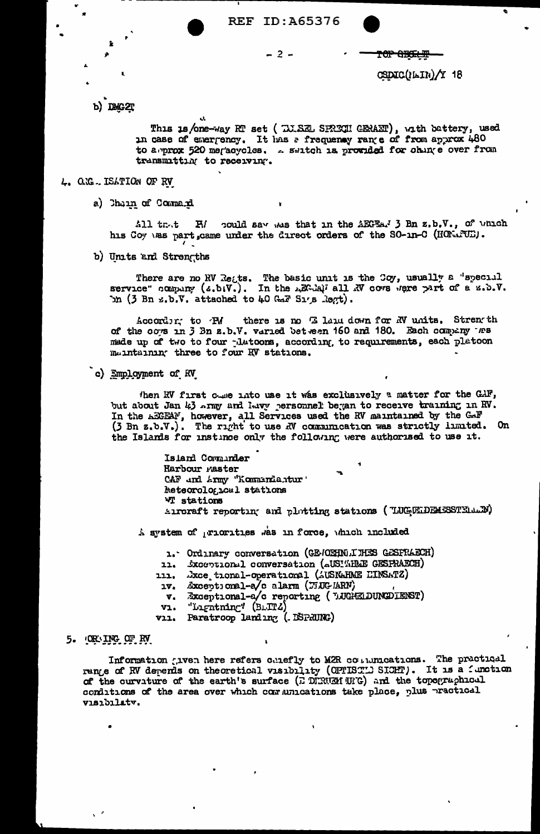

 $-2-$ 

CSDIC(NAIN)/Y 18

TOP GEGELEP

b) DMG2T

This is/one-way RT set (TJ.SEL SPRECH GERAET), with battery, used<br>in case of emergency. It has a frequency range of from approx 480 to a prox 520 megacycles. .. switch is provided for ohing e over from transmitting to receiving.

### 4. O.G. ISATION OF RV

a) Chain of Command

H/ could say was that in the AEGEAN 3 Bn z.b.V., of which  $211$  trut his Coy was part, came under the direct orders of the SO-in-C (HONATUE).

b) Units and Strengths

There are no RV Reats. The basic unit is the Coy, usually a "special service" company (2.b.V.). In the AEC-AQI all RV cover where part of a z.b.V. bn (3 Bn z.b.V. attached to 40 Gar Sigs Regt).

there is no E laiu down for NV units. Strength According to PM of the cows in 3 Bn z.b.V. varied bet een 160 and 180. Each company tes made up of two to four platoors, according, to requirements, each platoon maintaining three to four RV stations.

c) Employment of RV

then RV first come into use it was exclusively a matter for the GAF, but about Jan 43 army and havy personnel began to receive training in RV. In the AECEAN, however, all Services used the RV maintained by the CAF (3 Bn z.b.V.). The right to use AV communication was strictly limited. On the Islands for instince only the following were authorised to use it.

> Island Comunder Harbour raster CAF and Army "Kommandantur" Meteorological stations **WI** stations Autoraft reporting and plotting stations (TUGELDEMESSTEIMEN)

A system of priorities was in force, which included

1. Ordinary conversation (GE-CEHNLIHES GESFRAECH)

11. Sxccptional conversation (aUSIWHEME GESPRAECH)

- 111. Jxce tional-operational (AUSNAHME EINSATZ)
- Exceptional-a/c alarm (TiUC ARN)  $1V<sub>1</sub>$
- Exceptional-a/c reporting (LUGHELDUNCDIENST)  $\mathbf{v}_{\bullet}$
- "Lightning"  $(BLITZ)$ V1.
- vii. Paratroop landing (. DSPRUNG)

#### 5. OR ING OF RV

Information given here refers calefly to M2R couldnications. The practical range of RV depends on theoretical visibility (OPTISTL) SIGHT). It is a function of the curvature of the earth's surface (E DERUM UIG) and the topographical conditions of the area over which communications take place, plus practical visibilatv.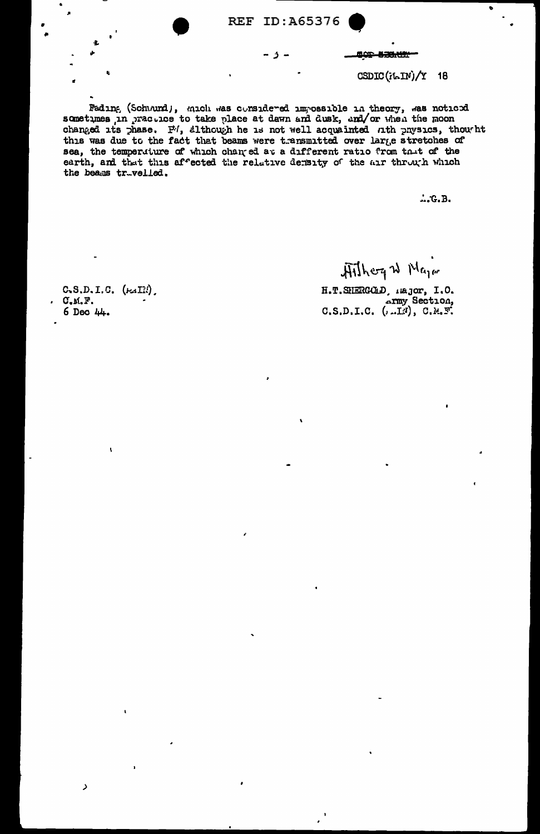**REF ID: A65376** 

- ز -



 $CSDIC(iLIN)/Y$  18

Fading (Schumd), mich was considered impossible in theory, was noticed sometimes, in practice to take place at dawn and dusk, and/or when the moon changed its phase. P/, although he is not well acquainted nth physics, thou ht this was due to the fact that beams were transmitted over large stretches of sea, the temperature of which changed at a different ratio from that of the earth, and that this affected the relative density of the air through which the beams truvelled.

 $...$ G.B.

 $C, S, D, I, C, (\text{Fall})$  $C.M.F.$ 6 Dec 44.

Aithog W Major

H.T. SHERGOLD, Hajor, I.O. c.s.D.I.C. (...LN), C.M.F.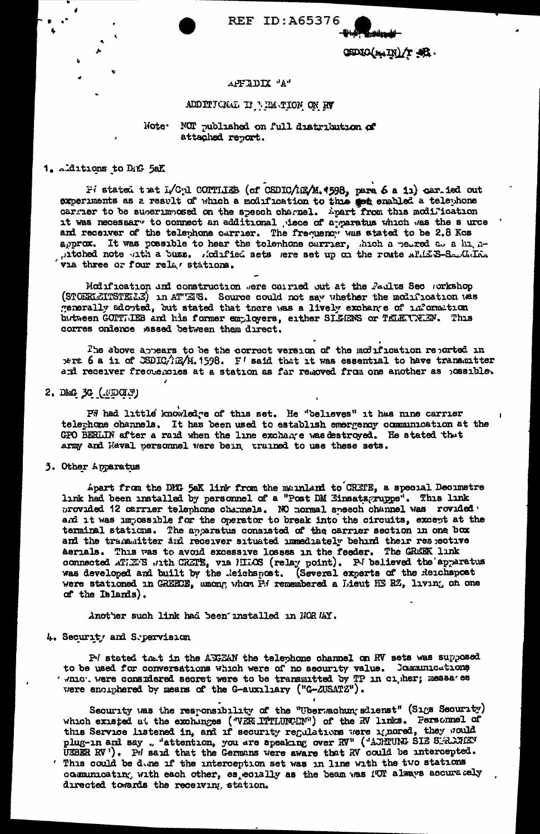## **REF ID: A65376**

OSDIO(MIN)/T 38.

### APFIDIX "A"

# ADDITIONAL II MEMORIAN ON RV

### Note. NOT published on full distribution of attached report.

# 1. additions to DAG 5aK

Fi stated that L/Cpl CONTILEB (of CSDIC/1E2/M.4598, para 6 a ii) carried out experiments as a result of which a modification to this get enabled a telephone carrier to be superimposed on the speech charnel. Apart from this modification it was necessary to connect an additional , iece of a paratus which was the surce and receiver of the telephone carrier. The frequency was stated to be 2.8 Kcs approx. It was possible to hear the telephone currier, thich a petred at a hi, npitched note uth a buzz. Raifled sets sere set up on the route all E.S-S-URIA. via three or four relar stations.

Modification and construction were carried out at the Faults Sec workshop (STOERLEITSTELE) in ATTEIS. Source could not say whether the modification was generally adopted, but stated that there was a lively exchange of information butween GOPTLEB and his former employers, either SILENS or TELENNEN. This corres onlence assed between them direct.

The above appears to be the correct version of the modification reported in wra 6 a in of CSDIC/1E/M.1598. F' said that it was essential to have transmitter and receiver frequencies at a station as far removed from one another as possible.

#### 2. DMG 3G ( UDCLY)

PW had little knowledge of this set. He "believes" it has mine carrier telephone channels. It has been used to establish emergency communication at the GPO BERLIN after a raid when the line exchange was destroyed. He stated that army and Naval personnel were bein trained to use these sets.

#### 3. Other Apparatus

Apart from the DMG 5aK link from the mainland to CRETE, a special Decimetre link had been installed by personnel of a "Post DM Einsatz ruppe". This link provided 12 carrier telephone channels. NO normal speech channel was rovided. and it was impossible for the operator to break into the circuits, except at the terminal stations. The apparatus consisted of the carrier section in one box and the transmitter and receiver situated numediately behind their respective Aerials. This was to avoid excessive losses in the feeder. The GREEK link connected ATIENS with CRETE, via MILOS (relay point). PJ believed the apparatus was developed and built by the Reichspost. (Several experts of the Reichspost were stationed in GREECE, umong whom P.4 remembered a Lieut HE RZ, living on one of the Islands).

Another such link had been unstalled in NOR MAY.

## 4. Security and Sepervision

P/ stated that in the AKEAN the telephone channel on RV sets was supposed to be used for conversations which were of no security value. Journications ' whic'. Were considered secret were to be transmitted by TP in cigher; messa'es vere encuphered by means of the G-auxiliary ("G-ZUSATZ").

Security was the responsibility of the "Uberwachung shienst" (Sigs Security) which existed at the exchanges ("VER ITTLUNCEN") of the RV links. Fersonnel of this Service listened in, and if security regulations were ignored, they would plug-in and say. "attention, you are speaking over RV" ("ACHTUNG SIE SERANGEN UEBER RV"). PH said that the Germans were aware that RV could be intercepted. ' This could be done if the interception set was in line with the two stations communicating with each other, es ecually as the beam was NOT always accurately directed towards the receiving station.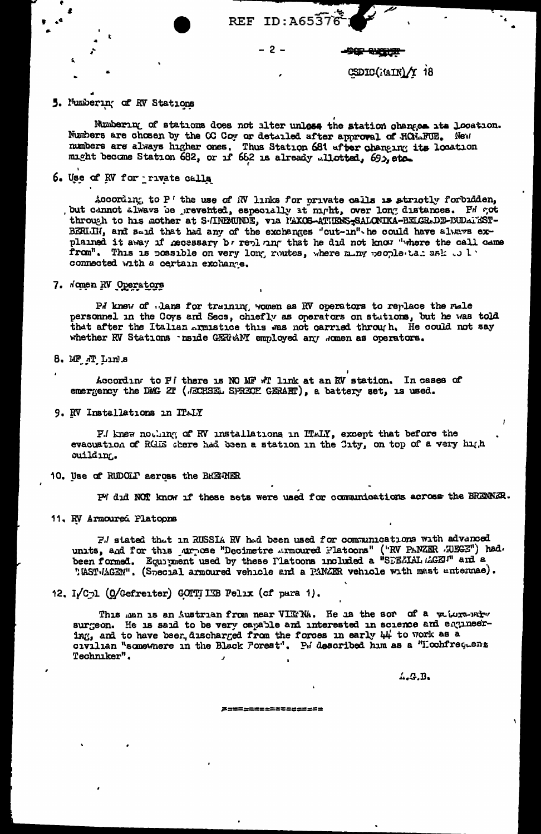#### $-2-$

CSDIC(MIN)/Y 18

**TO STAR** 

# 5. Numbering of RV Stations

Numbering of stations does not alter unless the station changes its location. Numbers are chosen by the CC Coy or detailed after approval of HOMAFUE. New numbers are always higher ones. Thus Station 681 after changing its location might become Station 682, or if 662 is already allotted, 695, etc.

6. Use of RV for private calls

According to P' the use of NV links for private calls is strictly forbidden, , but cannot always be prevented, especially at night, over long distances. Fd got through to his mother at S-INEMUNDE, via MAXOS-ATHENS-SALONIKA-BELGR-DE-BUDATEST-BERIJH, and said that had any of the exchanges "cut-in" he could have always explained it away if necessary by replaing that he did not know "where the call came from". This is possible on very long routes, where many people tar ask to la connected with a certain exchange.

# 7. Nomen RV Operators

Pd knew of clans for training women as RV operators to replace the male personnel in the Coys and Secs, chiefly as operators on stutions, but he was told that after the Italian armistice this was not carried through. He could not say whether RV Stations Inside GERRANY employed any women as operators.

8. MF M Links

According to P! there is NO MF #T link at an RV station. In cases of emergency the DEG 2T (JECHSEL SPRECH GERAET), a battery set, is used.

9. RV Installations in ITALY

P.I knew nothing of RV installations in ITALY, except that before the evacuation of RGEE chere had been a station in the City, on top of a very high ouilding.

10. Use of RUDOLI across the BREMER

P' did NOT know if these sets were used for communications across the BRENNER.

11. RV Armoured Platoons

Fil stated that in RUSSIA RV had been used for communications with advanced units, and for this jurise "Decimetre Armoured Platoons" ("RV PANZER AUEGE") had.<br>been formed. Equipment used by these Platoons included a "SPEZIAL AGET" and a "MST-MAGEN". (Special armoured vehicle and a PANZER vehicle with mast untermae).

12. I/Cpl (O/Gefreiter) GOTTILEB Felix (of para 1).

This man is an Austrian from near VIETNA. He is the sor of a valure-wire surgeon. He is said to be very capable and interested in science and engineering, and to have beer, discharged from the forces in early  $44'$  to work as a civilian "somewhere in the Black Forest". P. described him as a "Lochfreguenz Techniker".

4.G.B.

*P=*=================